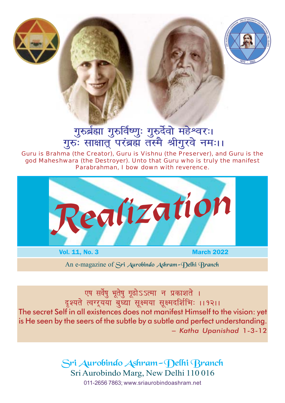



# गुरुर्ब्रह्मा गुरुर्विष्णुः गुरुर्<mark>देवो महेश्वरः</mark>। wa serven wa ming wa serven wa minggalar wa serven wa minggalar wa serven wa serven wa serven wa serven wa ser<br><mark>गुरुः साक्षात् परंब्रह्म तस्मै श्रीगुरवे नमः</mark>।।

Guru is Brahma (the Creator), Guru is Vishnu (the Preserver), and Guru is the god Maheshwara (the Destroyer). Unto that Guru who is truly the manifest Parabrahman, I bow down with reverence.



An e-magazine of Sri Aurobindo Ashram-Delhi Branch

एष सर्वेषु भूतेषु गूढोऽऽत्मा न प्रकाशते । दृश्यते त्वग्र्यया बुघ्घा सूक्ष्मया सूक्ष्मदर्शिभिः ।।१२।। The secret Self in all existences does not manifest Himself to the vision: yet is He seen by the seers of the subtle by a subtle and perfect understanding. – *Katha Upanishad* 1-3-12

> Sri Aurobindo Ashram-Delhi Branch Sri Aurobindo Marg, New Delhi 110 016

011-2656 7863; www.sriaurobindoashram.net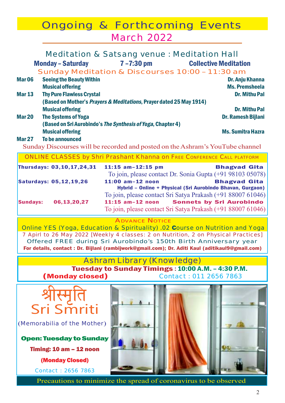## Ongoing & Forthcoming Events March 2022

|                                                                                |                                                                                                                                 | Meditation & Satsang venue: Meditation Hall<br>Monday – Saturday 7 – 7:30 pm<br>Sunday Meditation & Discourses 10:00 - 11:30 am | <b>Collective Meditation</b>                                                                                              |  |
|--------------------------------------------------------------------------------|---------------------------------------------------------------------------------------------------------------------------------|---------------------------------------------------------------------------------------------------------------------------------|---------------------------------------------------------------------------------------------------------------------------|--|
| Mar <sub>06</sub>                                                              | <b>Seeing the Beauty Within</b><br><b>Musical offering</b>                                                                      |                                                                                                                                 | Dr. Anju Khanna<br><b>Ms. Premsheela</b>                                                                                  |  |
| <b>Mar 13</b>                                                                  | <b>Thy Pure Flawless Crystal</b><br><b>Dr. Mithu Pal</b><br>(Based on Mother's Prayers & Meditations, Prayer dated 25 May 1914) |                                                                                                                                 |                                                                                                                           |  |
| <b>Mar 20</b>                                                                  | <b>Musical offering</b><br><b>The Systems of Yoga</b>                                                                           | (Based on Sri Aurobindo's The Synthesis of Yoga, Chapter 4)                                                                     | <b>Dr. Mithu Pal</b><br>Dr. Ramesh Bijlani                                                                                |  |
| <b>Mar 27</b>                                                                  | <b>Musical offering</b><br>To be announced                                                                                      | Sunday Discourses will be recorded and posted on the Ashram's YouTube channel                                                   | <b>Ms. Sumitra Hazra</b>                                                                                                  |  |
| <b>ONLINE CLASSES by Shri Prashant Khanna on FREE CONFERENCE CALL PLATFORM</b> |                                                                                                                                 |                                                                                                                                 |                                                                                                                           |  |
|                                                                                | Thursdays: 03,10,17,24,31<br><b>Saturdays: 05,12,19,26</b>                                                                      | $11:15$ am- $12:15$ pm<br>11:00 am-12 noon                                                                                      | <b>Bhagvad Gita</b><br>To join, please contact Dr. Sonia Gupta (+91 98103 05078)<br><b>Bhagvad Gita</b>                   |  |
|                                                                                |                                                                                                                                 |                                                                                                                                 | Hybrid - Online + Physical (Sri Aurobindo Bhavan, Gurgaon)<br>To join, please contact Sri Satya Prakash (+91 88007 61046) |  |

|          | Thursdays: 03,10,17,24,31     | $11:15$ am-12:15 pm                                         | <b>Bhagvad Gita</b> |  |
|----------|-------------------------------|-------------------------------------------------------------|---------------------|--|
|          |                               | To join, please contact Dr. Sonia Gupta (+91 98103 05078)   |                     |  |
|          | <b>Saturdays: 05,12,19,26</b> | 11:00 am-12 noon                                            | <b>Bhagvad Gita</b> |  |
|          |                               | Hybrid - Online + Physical (Sri Aurobindo Bhavan, Gurgaon)  |                     |  |
|          |                               | To join, please contact Sri Satya Prakash (+91 88007 61046) |                     |  |
| Sundays: | 06,13,20,27                   | 11:15 am-12 noon Sonnets by Sri Aurobindo                   |                     |  |
|          |                               | To join, please contact Sri Satya Prakash (+91 88007 61046) |                     |  |

ADVANCE NOTICE

Online YES (Yoga, Education & Spirituality) .02 Course on Nutrition and Yoga 7 Apirl to 26 May 2022 [Weekly 4 classes: 2 on Nutrition, 2 on Physical Practices] Offered FREE during Sri Aurobindo's 150th Birth Anniversary year For details, contact : Dr. Bijlani (rambijwork@gmail.com); Dr. Aditi Kaul (aditikaul9@gmail.com)

## Ashram Library (Knowledge)

Tuesday to Sunday Timings : 10:00 A.M. – 4:30 P.M. **(Monday closed) Contact : 011 2656 7863**<br>**Contact : 011 2656 7863** 

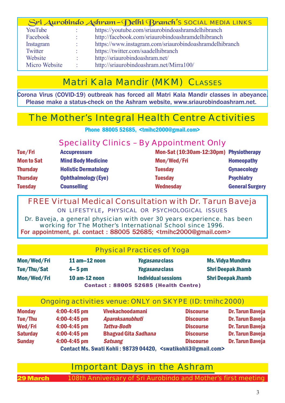|               |              | Sri Aurobindo Ashram-Delhi Branch's SOCIAL MEDIA LINKS  |
|---------------|--------------|---------------------------------------------------------|
| YouTube       |              | https://youtube.com/sriaurobindoashramdelhibranch       |
| Facebook      |              | http://facebook.com/sriaurobindoashramdelhibranch       |
| Instagram     | ÷            | https://www.instagram.com/sriaurobindoashramdelhibranch |
| Twitter       | ÷            | https://twitter.com/saadelhibranch                      |
| Website       | ÷.           | http://sriaurobindoashram.net/                          |
| Micro Website | $\mathbb{R}$ | http://sriaurobindoashram.net/Mirra100/                 |

## Matri Kala Mandir (MKM) CLASSES

Corona Virus (COVID-19) outbreak has forced all Matri Kala Mandir classes in abeyance. Please make a status-check on the Ashram website, www.sriaurobindoashram.net.

The Mother's Integral Health Centre Activities

Phone 88005 52685, <tmihc2000@gmail.com>

## Speciality Clinics – By Appointment Only

| Tue/Fri           | <b>Accupressure</b>     |
|-------------------|-------------------------|
| <b>Mon to Sat</b> | <b>Mind Body Medio</b>  |
| <b>Thursday</b>   | <b>Holistic Dermato</b> |
| <b>Thursday</b>   | <b>Ophthalmology (I</b> |
| <b>Tuesday</b>    | <b>Counselling</b>      |
|                   |                         |

| Tue/Fri           | <b>Accupressure</b>         | Mon-Sat (10:30am-12:30pm) Physiotherapy |                        |
|-------------------|-----------------------------|-----------------------------------------|------------------------|
| <b>Mon to Sat</b> | <b>Mind Body Medicine</b>   | Mon/Wed/Fri                             | <b>Homeopathy</b>      |
| <b>Thursday</b>   | <b>Holistic Dermatology</b> | <b>Tuesday</b>                          | <b>Gynaecology</b>     |
| <b>Thursday</b>   | <b>Ophthalmology (Eye)</b>  | <b>Tuesday</b>                          | <b>Psychiatry</b>      |
| <b>Tuesday</b>    | <b>Counselling</b>          | <b>Wednesday</b>                        | <b>General Surgery</b> |
|                   |                             |                                         |                        |

FREE Virtual Medical Consultation with Dr. Tarun Baveja ON LIFESTYLE, PHYSICAL OR PSYCHOLOGICAL ISSUES

Dr. Baveja, a general physician with over 30 years experience, has been working for The Mother's International School since 1996. For appointment, pl. contact : 88005 52685; <tmihc2000@gmail.com>

#### Physical Practices of Yoga

| Mon/Wed/Fri | $11$ am $-12$ noon | <i>Yogasana</i> class                | <b>Ms. Vidya Mundhra</b> |
|-------------|--------------------|--------------------------------------|--------------------------|
| Tue/Thu/Sat | $4 - 5$ pm         | <i>Yogasana</i> class                | <b>Shri Deepak Jhamb</b> |
| Mon/Wed/Fri | 10 am-12 noon      | <b>Individual sessions</b>           | <b>Shri Deepak Jhamb</b> |
|             |                    | Contact: 88005 52685 (Health Centre) |                          |

#### Ongoing activities venue: ONLY on SKYPE (ID: tmihc2000)

| <b>Monday</b>   | $4:00 - 4:45$ pm | <b>Vivekachoodamani</b>     | <b>Discourse</b>                                                                      | <b>Dr. Tarun Baveja</b> |
|-----------------|------------------|-----------------------------|---------------------------------------------------------------------------------------|-------------------------|
| Tue/Thu         | $4:00 - 4:45$ pm | <b>Aparoksanubhuti</b>      | <b>Discourse</b>                                                                      | <b>Dr. Tarun Baveja</b> |
| Wed/Fri         | $4:00 - 4:45$ pm | <b>Tattva-Bodh</b>          | <b>Discourse</b>                                                                      | <b>Dr. Tarun Baveja</b> |
| <b>Saturday</b> | $4:00 - 4:45$ pm | <b>Bhagvad Gita Sadhana</b> | <b>Discourse</b>                                                                      | <b>Dr. Tarun Baveja</b> |
| <b>Sunday</b>   | $4:00 - 4:45$ pm | <b>Satsang</b>              | <b>Discourse</b>                                                                      | <b>Dr. Tarun Baveja</b> |
|                 |                  |                             | Contact Ms. Swati Kohli: 98739 04420, <swatikohli3@gmail.com></swatikohli3@gmail.com> |                         |

## Important Days in the Ashram

29 March 108th Anniversary of Sri Aurobindo and Mother's first meeting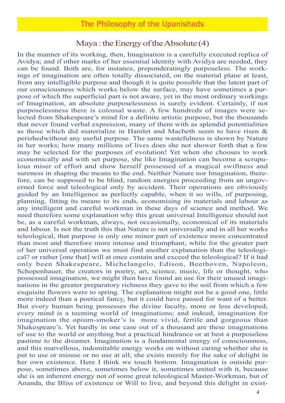#### Maya : the Energy of the Absolute (4)

In the manner of its working, then, Imagination is a carefully executed replica of Avidya; and if other marks of her essential identity with Avidya are needed, they can be found. Both are, for instance, preponderatingly purposeless. The workings of imagination are often totally dissociated, on the material plane at least, from any intelligible purpose and though it is quite possible that the latent part of our consciousness which works below the surface, may have sometimes a purpose of which the superficial part is not aware, yet in the most ordinary workings of Imagination, an absolute purposelessness is surely evident. Certainly, if not purposelessness there is colossal waste. A few hundreds of images were selected from Shakespeare's mind for a definite artistic purpose, but the thousands that never found verbal expression, many of them with as splendid potentialities as those which did materialize in Hamlet and Macbeth seem to have risen & perishedwithout any useful purpose. The same wastefulness is shown by Nature in her works; how many millions of lives does she not shower forth that a few may be selected for the purposes of evolution! Yet when she chooses to work economically and with set purpose, she like Imagination can become a scrupulous miser of effort and show herself possessed of a magical swiftness and sureness in shaping the means to the end. Neither Nature nor Imagination, therefore, can be supposed to be blind, random energies proceeding from an ungoverned force and teleological only by accident. Their operations are obviously guided by an Intelligence as perfectly capable, when it so wills, of purposing, planning, fitting its means to its ends, economising its materials and labour as any intelligent and careful workman in these days of science and method. We need therefore some explanation why this great universal Intelligence should not be, as a careful workman, always, not occasionally, economical of its materials and labour. Is not the truth this that Nature is not universally and in all her works teleological, that purpose is only one minor part of existence more concentrated than most and therefore more intense and triumphant, while for the greater part of her universal operation we must find another explanation than the teleological? or rather [one that] will at once contain and exceed the teleological? If it had only been Shakespeare, Michelangelo, Edison, Beethoven, Napoleon, Schopenhauer, the creators in poetry, art, science, music, life or thought, who possessed imagination, we might then have found an use for their unused imaginations in the greater preparatory richness they gave to the soil from which a few exquisite flowers were to spring. The explanation might not be a good one, little more indeed than a poetical fancy, but it could have passed for want of a better. But every human being possesses the divine faculty, more or less developed; every mind is a teeming world of imaginations; and indeed, imagination for imagination the opium-smoker's is more vivid, fertile and gorgeous than Shakespeare's. Yet hardly in one case out of a thousand are these imaginations of use to the world or anything but a practical hindrance or at best a purposeless pastime to the dreamer. Imagination is a fundamental energy of consciousness, and this marvellous, indomitable energy works on without caring whether she is put to use or misuse or no use at all; she exists merely for the sake of delight in her own existence. Here I think we touch bottom. Imagination is outside purpose, sometimes above, sometimes below it, sometimes united with it, because she is an inherent energy not of some great teleological Master-Workman, but of Ananda, the Bliss of existence or Will to live, and beyond this delight in exist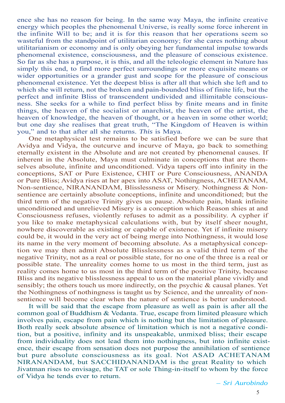ence she has no reason for being. In the same way Maya, the infinite creative energy which peoples the phenomenal Universe, is really some force inherent in the infinite Will to be; and it is for this reason that her operations seem so wasteful from the standpoint of utilitarian economy; for she cares nothing about utilitarianism or economy and is only obeying her fundamental impulse towards phenomenal existence, consciousness, and the pleasure of conscious existence. So far as she has a purpose, it is this, and all the teleologic element in Nature has simply this end, to find more perfect surroundings or more exquisite means or wider opportunities or a grander gust and scope for the pleasure of conscious phenomenal existence. Yet the deepest bliss is after all that which she left and to which she will return, not the broken and pain-bounded bliss of finite life, but the perfect and infinite Bliss of transcendent undivided and illimitable consciousness. She seeks for a while to find perfect bliss by finite means and in finite things, the heaven of the socialist or anarchist, the heaven of the artist, the heaven of knowledge, the heaven of thought, or a heaven in some other world; but one day she realises that great truth, "The Kingdom of Heaven is within you," and to that after all she returns. *This* is Maya.

One metaphysical test remains to be satisfied before we can be sure that Avidya and Vidya, the outcurve and incurve of Maya, go back to something eternally existent in the Absolute and are not created by phenomenal causes. If inherent in the Absolute, Maya must culminate in conceptions that are themselves absolute, infinite and unconditioned. Vidya tapers off into infinity in the conceptions, SAT or Pure Existence, CHIT or Pure Consciousness, ANANDA or Pure Bliss; Avidya rises at her apex into ASAT, Nothingness, ACHETANAM, Non-sentience, NIRANANDAM, Blisslessness or Misery. Nothingness & Nonsentience are certainly absolute conceptions, infinite and unconditioned; but the third term of the negative Trinity gives us pause. Absolute pain, blank infinite unconditioned and unrelieved Misery is a conception which Reason shies at and Consciousness refuses, violently refuses to admit as a possibility. A cypher if you like to make metaphysical calculations with, but by itself sheer nought, nowhere discoverable as existing or capable of existence. Yet if infinite misery could be, it would in the very act of being merge into Nothingness, it would lose its name in the very moment of becoming absolute. As a metaphysical conception we may then admit Absolute Blisslessness as a valid third term of the negative Trinity, not as a real or possible state, for no one of the three is a real or possible state. The unreality comes home to us most in the third term, just as reality comes home to us most in the third term of the positive Trinity, because Bliss and its negative blisslessness appeal to us on the material plane vividly and sensibly; the others touch us more indirectly, on the psychic & causal planes. Yet the Nothingness of nothingness is taught us by Science, and the unreality of nonsentience will become clear when the nature of sentience is better understood.

It will be said that the escape from pleasure as well as pain is after all the common goal of Buddhism & Vedanta. True, escape from limited pleasure which involves pain, escape from pain which is nothing but the limitation of pleasure. Both really seek absolute absence of limitation which is not a negative condition, but a positive, infinity and its unspeakable, unmixed bliss; their escape from individuality does not lead them into nothingness, but into infinite existence, their escape from sensation does not purpose the annihilation of sentience but pure absolute consciousness as its goal. Not ASAD ACHETANAM NIRANANDAM, but SACCHIDANANDAM is the great Reality to which Jivatman rises to envisage, the TAT or sole Thing-in-itself to whom by the force of Vidya he tends ever to return.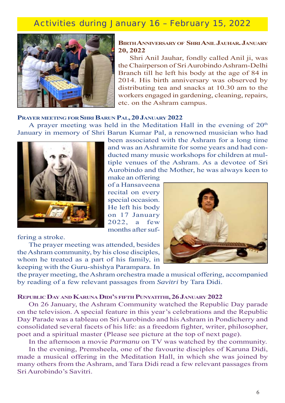## Activities during January 16 – February 15, 2022



#### **BIRTH ANNIVERSARYOF SHRI ANIL JAUHAR. JANUARY 20, 2022**

Shri Anil Jauhar, fondly called Anil ji, was the Chairperson of Sri Aurobindo Ashram-Delhi Branch till he left his body at the age of 84 in 2014. His birth anniversary was observed by distributing tea and snacks at 10.30 am to the workers engaged in gardening, cleaning, repairs, etc. on the Ashram campus.

been associated with the Ashram for a long time and was an Ashramite for some years and had conducted many music workshops for children at multiple venues of the Ashram. As a devotee of Sri Aurobindo and the Mother, he was always keen to

#### **PRAYER MEETING FOR SHRI BARUN PAL, 20 JANUARY 2022**

A prayer meeting was held in the Meditation Hall in the evening of  $20<sup>th</sup>$ January in memory of Shri Barun Kumar Pal, a renowned musician who had



fering a stroke.

The prayer meeting was attended, besides the Ashram community, by his close disciples, whom he treated as a part of his family, in keeping with the Guru-shishya Parampara. In



the prayer meeting, the Ashram orchestra made a musical offering, accompanied by reading of a few relevant passages from *Savitri* by Tara Didi.

#### **REPUBLIC DAY AND KARUNA DIDI'SFIFTH PUNYATITHI, 26 JANUARY 2022**

On 26 January, the Ashram Community watched the Republic Day parade on the television. A special feature in this year's celebrations and the Republic Day Parade was a tableau on Sri Aurobindo and his Ashram in Pondicherry and consolidated several facets of his life: as a freedom fighter, writer, philosopher, poet and a spiritual master (Please see picture at the top of next page).

In the afternoon a movie *Parmanu* on TV was watched by the community.

In the evening, Premsheela, one of the favourite disciples of Karuna Didi, made a musical offering in the Meditation Hall, in which she was joined by many others from the Ashram, and Tara Didi read a few relevant passages from Sri Aurobindo's Savitri.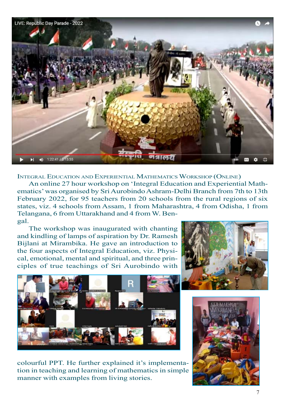

INTEGRAL EDUCATION AND EXPERIENTIAL MATHEMATICS WORKSHOP (ONLINE)

An online 27 hour workshop on 'Integral Education and Experiential Mathematics' was organised by Sri Aurobindo Ashram-Delhi Branch from 7th to 13th February 2022, for 95 teachers from 20 schools from the rural regions of six states, viz. 4 schools from Assam, 1 from Maharashtra, 4 from Odisha, 1 from Telangana, 6 from Uttarakhand and 4 from W. Bengal.

The workshop was inaugurated with chanting and kindling of lamps of aspiration by Dr. Ramesh Bijlani at Mirambika. He gave an introduction to the four aspects of Integral Education, viz. Physical, emotional, mental and spiritual, and three principles of true teachings of Sri Aurobindo with





colourful PPT. He further explained it's implementation in teaching and learning of mathematics in simple manner with examples from living stories.

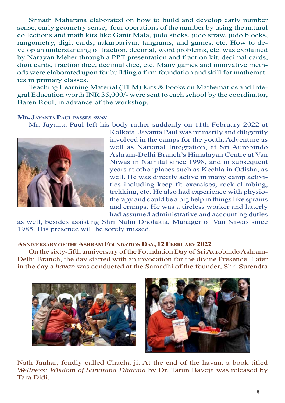Srinath Maharana elaborated on how to build and develop early number sense, early geometry sense, four operations of the number by using the natural collections and math kits like Ganit Mala, judo sticks, judo straw, judo blocks, rangometry, digit cards, aakarparivar, tangrams, and games, etc. How to develop an understanding of fraction, decimal, word problems, etc. was explained by Narayan Meher through a PPT presentation and fraction kit, decimal cards, digit cards, fraction dice, decimal dice, etc. Many games and innovative methods were elaborated upon for building a firm foundation and skill for mathematics in primary classes.

Teaching Learning Material (TLM) Kits & books on Mathematics and Integral Education worth INR 35,000/- were sent to each school by the coordinator, Baren Roul, in advance of the workshop.

#### **MR. JAYANTA PAULPASSESAWAY**

Mr. Jayanta Paul left his body rather suddenly on 11th February 2022 at



Kolkata. Jayanta Paul was primarily and diligently involved in the camps for the youth, Adventure as well as National Integration, at Sri Aurobindo Ashram-Delhi Branch's Himalayan Centre at Van Niwas in Nainital since 1998, and in subsequent years at other places such as Kechla in Odisha, as well. He was directly active in many camp activities including keep-fit exercises, rock-climbing, trekking, etc. He also had experience with physiotherapy and could be a big help in things like sprains and cramps. He was a tireless worker and latterly had assumed administrative and accounting duties

as well, besides assisting Shri Nalin Dholakia, Manager of Van Niwas since 1985. His presence will be sorely missed.

#### **ANNIVERSARYOFTHE ASHRAM FOUNDATION DAY, 12 FEBRUARY 2022**

On the sixty-fifth anniversary of the Foundation Day of Sri Aurobindo Ashram-Delhi Branch, the day started with an invocation for the divine Presence. Later in the day a *havan* was conducted at the Samadhi of the founder, Shri Surendra



Nath Jauhar, fondly called Chacha ji. At the end of the havan, a book titled *Wellness: Wisdom of Sanatana Dharma* by Dr. Tarun Baveja was released by Tara Didi.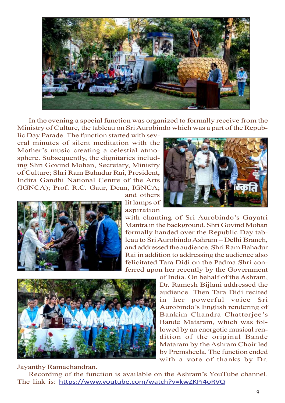

In the evening a special function was organized to formally receive from the Ministry of Culture, the tableau on Sri Aurobindo which was a part of the Repub-

lic Day Parade. The function started with several minutes of silent meditation with the Mother's music creating a celestial atmosphere. Subsequently, the dignitaries including Shri Govind Mohan, Secretary, Ministry of Culture; Shri Ram Bahadur Rai, President, Indira Gandhi National Centre of the Arts (IGNCA); Prof. R.C. Gaur, Dean, IGNCA;







with chanting of Sri Aurobindo's Gayatri Mantra in the background. Shri Govind Mohan formally handed over the Republic Day tableau to Sri Aurobindo Ashram – Delhi Branch, and addressed the audience. Shri Ram Bahadur Rai in addition to addressing the audience also felicitated Tara Didi on the Padma Shri conferred upon her recently by the Government



Jayanthy Ramachandran.

Recording of the function is available on the Ashram's YouTube channel. The link is: https://www.youtube.com/watch?v=kwZKPi4oRVQ

of India. On behalf of the Ashram, Dr. Ramesh Bijlani addressed the audience. Then Tara Didi recited in her powerful voice Sri Aurobindo's English rendering of Bankim Chandra Chatterjee's Bande Mataram, which was followed by an energetic musical rendition of the original Bande Mataram by the Ashram Choir led by Premsheela. The function ended with a vote of thanks by Dr.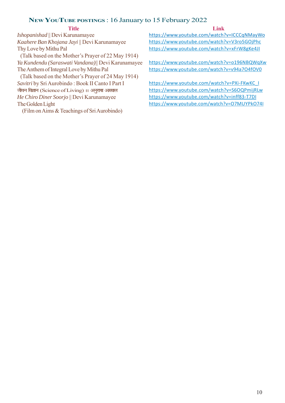#### **NEW YOUTUBE POSTINGS** : 16 January to 15 February 2022

*Ishopanishad* || Devi Karunamayee *Kaahere Ban Khojana Jayi* || Devi Karunamayee Thy Love by Mithu Pal

 (Talk based on the Mother's Prayer of 22 May 1914) *Ya Kundendu (Saraswati Vandana)*|| Devi Karunamayee The Anthem of Integral Love by Mithu Pal

 (Talk based on the Mother's Prayer of 24 May 1914) *Savitri* by Sri Aurobindo : Book II Canto I Part I जीवन विज्ञान (Science of Living) ।। अनुराधा अग्रवाल *He Chiro Diner Soorjo* || Devi Karunamayee The Golden Light

(Film on Aims & Teachings of Sri Aurobindo)

#### **Title** Link

https://www.youtube.com/watch?v=ICCCqNMayWo https://www.youtube.com/watch?v=V3ro5GOjPhc https://www.youtube.com/watch?v=xFrW8gKe4JI

https://www.youtube.com/watch?v=o196NBQWqXw https://www.youtube.com/watch?v=v94a7O4fOV0

https://www.youtube.com/watch?v=PXi-FKwKC\_I https://www.youtube.com/watch?v=S6OQPmijRLw https://www.youtube.com/watch?v=inff83-T7DI https://www.youtube.com/watch?v=O7MUYPkO74I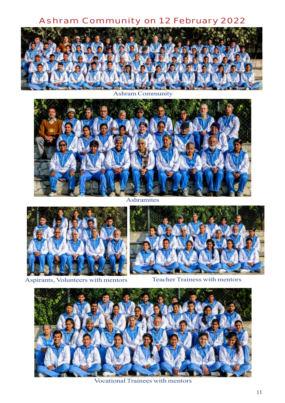## Ashram Community on 12 February 2022



Ashram Community



Ashramites



Aspirants, Volunteers with mentors Teacher Trainess with mentors





Vocational Trainees with mentors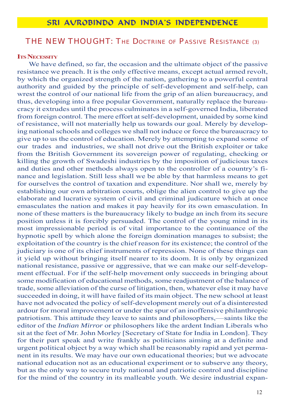### SRI AUROBINDO AND INDIA'S INDEPENDENCE

### THE NEW THOUGHT: THE DOCTRINE OF PASSIVE RESISTANCE (3)

#### **ITS NECESSITY**

We have defined, so far, the occasion and the ultimate object of the passive resistance we preach. It is the only effective means, except actual armed revolt, by which the organized strength of the nation, gathering to a powerful central authority and guided by the principle of self-development and self-help, can wrest the control of our national life from the grip of an alien bureaucracy, and thus, developing into a free popular Government, naturally replace the bureaucracy it extrudes until the process culminates in a self-governed India, liberated from foreign control. The mere effort at self-development, unaided by some kind of resistance, will not materially help us towards our goal. Merely by developing national schools and colleges we shall not induce or force the bureaucracy to give up to us the control of education. Merely by attempting to expand some of our trades and industries, we shall not drive out the British exploiter or take from the British Government its sovereign power of regulating, checking or killing the growth of Swadeshi industries by the imposition of judicious taxes and duties and other methods always open to the controller of a country's finance and legislation. Still less shall we be able by that harmless means to get for ourselves the control of taxation and expenditure. Nor shall we, merely by establishing our own arbitration courts, oblige the alien control to give up the elaborate and lucrative system of civil and criminal judicature which at once emasculates the nation and makes it pay heavily for its own emasculation. In none of these matters is the bureaucracy likely to budge an inch from its secure position unless it is forcibly persuaded. The control of the young mind in its most impressionable period is of vital importance to the continuance of the hypnotic spell by which alone the foreign domination manages to subsist; the exploitation of the country is the chief reason for its existence; the control of the judiciary is one of its chief instruments of repression. None of these things can it yield up without bringing itself nearer to its doom. It is only by organized national resistance, passive or aggressive, that we can make our self-development effectual. For if the self-help movement only succeeds in bringing about some modification of educational methods, some readjustment of the balance of trade, some alleviation of the curse of litigation, then, whatever else it may have succeeded in doing, it will have failed of its main object. The new school at least have not advocated the policy of self-development merely out of a disinterested ardour for moral improvement or under the spur of an inoffensive philanthropic patriotism. This attitude they leave to saints and philosophers,—saints like the editor of the *Indian Mirror* or philosophers like the ardent Indian Liberals who sit at the feet of Mr. John Morley [Secretary of State for India in London]. They for their part speak and write frankly as politicians aiming at a definite and urgent political object by a way which shall be reasonably rapid and yet permanent in its results. We may have our own educational theories; but we advocate national education not as an educational experiment or to subserve any theory, but as the only way to secure truly national and patriotic control and discipline for the mind of the country in its malleable youth. We desire industrial expan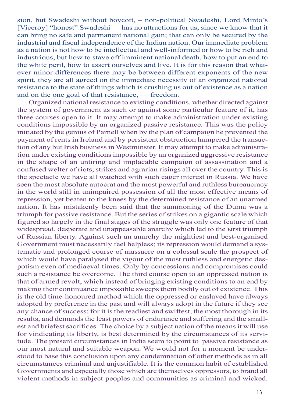sion, but Swadeshi without boycott, – non-political Swadeshi, Lord Minto's [Viceroy] "honest" Swadeshi — has no attractions for us, since we know that it can bring no safe and permanent national gain; that can only be secured by the industrial and fiscal independence of the Indian nation. Our immediate problem as a nation is not how to be intellectual and well-informed or how to be rich and industrious, but how to stave off imminent national death, how to put an end to the white peril, how to assert ourselves and live. It is for this reason that whatever minor differences there may be between different exponents of the new spirit, they are all agreed on the immediate necessity of an organized national resistance to the state of things which is crushing us out of existence as a nation and on the one goal of that resistance, — freedom.

Organized national resistance to existing conditions, whether directed against the system of government as such or against some particular feature of it, has three courses open to it. It may attempt to make administration under existing conditions impossible by an organized passive resistance. This was the policy initiated by the genius of Parnell when by the plan of campaign he prevented the payment of rents in Ireland and by persistent obstruction hampered the transaction of any but Irish business in Westminster. It may attempt to make administration under existing conditions impossible by an organized aggressive resistance in the shape of an untiring and implacable campaign of assassination and a confused welter of riots, strikes and agrarian risings all over the country. This is the spectacle we have all watched with such eager interest in Russia. We have seen the most absolute autocrat and the most powerful and ruthless bureaucracy in the world still in unimpaired possession of all the most effective means of repression, yet beaten to the knees by the determined resistance of an unarmed nation. It has mistakenly been said that the summoning of the Duma was a triumph for passive resistance. But the series of strikes on a gigantic scale which figured so largely in the final stages of the struggle was only one feature of that widespread, desperate and unappeasable anarchy which led to the Last triumph of Russian liberty. Against such an anarchy the mightiest and best-organised Government must necessarily feel helpless; its repression would demand a systematic and prolonged course of massacre on a colossal scale the prospect of which would have paralysed the vigour of the most ruthless and energetic despotism even of mediaeval times. Only by concessions and compromises could such a resistance be overcome. The third course open to an oppressed nation is that of armed revolt, which instead of bringing existing conditions to an end by making their continuance impossible sweeps them bodily out of existence. This is the old time-honoured method which the oppressed or enslaved have always adopted by preference in the past and will always adopt in the future if they see any chance of success; for it is the readiest and swiftest, the most thorough in its results, and demands the least powers of endurance and suffering and the smallest and briefest sacrifices. The choice by a subject nation of the means it will use for vindicating its liberty, is best determined by the circumstances of its servitude. The present circumstances in India seem to point to passive resistance as our most natural and suitable weapon. We would not for a moment be understood to base this conclusion upon any condemnation of other methods as in all circumstances criminal and unjustifiable. It is the common habit of established Governments and especially those which are themselves oppressors, to brand all violent methods in subject peoples and communities as criminal and wicked.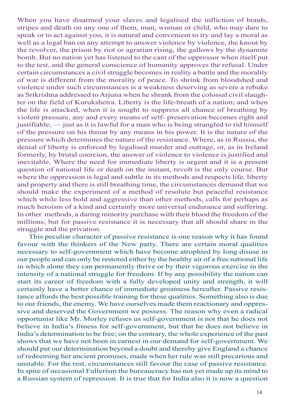When you have disarmed your slaves and legalised the infliction of bonds, stripes and death on any one of them, man, woman or child, who may dare to speak or to act against you, it is natural and convenient to try and lay a moral as well as a legal ban on any attempt to answer violence by violence, the knout by the revolver, the prison by riot or agrarian rising, the gallows by the dynamite bomb. But no nation yet has listened to the cant of the oppressor when itself put to the test, and the general conscience of humanity approves the refusal. Under certain circumstances a civil struggle becomes in reality a battle and the morality of war is different from the morality of peace. To shrink from bloodshed and violence under such circumstances is a weakness deserving as severe a rebuke as Srikrishna addressed to Arjuna when he shrank from the colossal civil slaughter on the field of Kurukshetra. Liberty is the life-breath of a nation; and when the life is attacked, when it is sought to suppress all chance of breathing by violent pressure, any and every means of self- preservation becomes right and justifiable, — just as it is lawful for a man who is being strangled to rid himself of the pressure on his throat by any means in his power. It is the nature of the pressure which determines the nature of the resistance. Where, as in Russia, the denial of liberty is enforced by legalised murder and outrage, or, as in Ireland formerly, by brutal coercion, the answer of violence to violence is justified and inevitable. Where the need for immediate liberty is urgent and it is a present question of national life or death on the instant, revolt is the only course. But where the oppression is legal and subtle in its methods and respects life, liberty and property and there is still breathing time, the circumstances demand that we should make the experiment of a method of resolute but peaceful resistance which while less bold and aggressive than other methods, calls for perhaps as much heroism of a kind and certainly more universal endurance and suffering. In other methods, a daring minority purchase with their blood the freedom of the millions; but for passive resistance it is necessary that all should share in the struggle and the privation.

This peculiar character of passive resistance is one reason why it has found favour with the thinkers of the New party. There are certain moral qualities necessary to self-government which have become atrophied by long disuse in our people and can only be restored either by the healthy air of a free national life in which alone they can permanently thrive or by their vigorous exercise in the intensity of a national struggle for freedom. If by any possibility the nation can start its career of freedom with a fully developed unity and strength, it will certainly have a better chance of immediate greatness hereafter. Passive resistance affords the best possible training for these qualities. Something also is due to our friends, the enemy. We have ourselves made them reactionary and oppressive and deserved the Government we possess. The reason why even a radical opportunist like Mr. Morley refuses us self-government is not that he does not believe in India's fitness for self-government, but that he does not believe in India's determination to be free; on the contrary, the whole experience of the past shows that we have not been in earnest in our demand for self-government. We should put our determination beyond a doubt and thereby give England a chance of redeeming her ancient promises, made when her rule was still precarious and unstable. For the rest, circumstances still favour the case of passive resistance. In spite of occasional Fullerism the bureaucracy has not yet made up its mind to a Russian system of repression. It is true that for India also it is now a question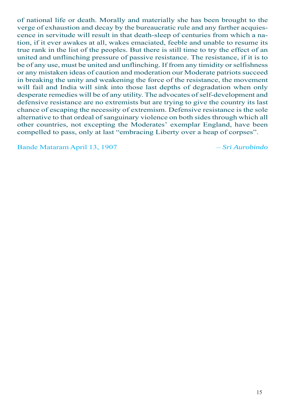of national life or death. Morally and materially she has been brought to the verge of exhaustion and decay by the bureaucratic rule and any farther acquiescence in servitude will result in that death-sleep of centuries from which a nation, if it ever awakes at all, wakes emaciated, feeble and unable to resume its true rank in the list of the peoples. But there is still time to try the effect of an united and unflinching pressure of passive resistance. The resistance, if it is to be of any use, must be united and unflinching. If from any timidity or selfishness or any mistaken ideas of caution and moderation our Moderate patriots succeed in breaking the unity and weakening the force of the resistance, the movement will fail and India will sink into those last depths of degradation when only desperate remedies will be of any utility. The advocates of self-development and defensive resistance are no extremists but are trying to give the country its last chance of escaping the necessity of extremism. Defensive resistance is the sole alternative to that ordeal of sanguinary violence on both sides through which all other countries, not excepting the Moderates' exemplar England, have been compelled to pass, only at last "embracing Liberty over a heap of corpses".

Bande Mataram April 13, 1907 – *Sri Aurobindo*